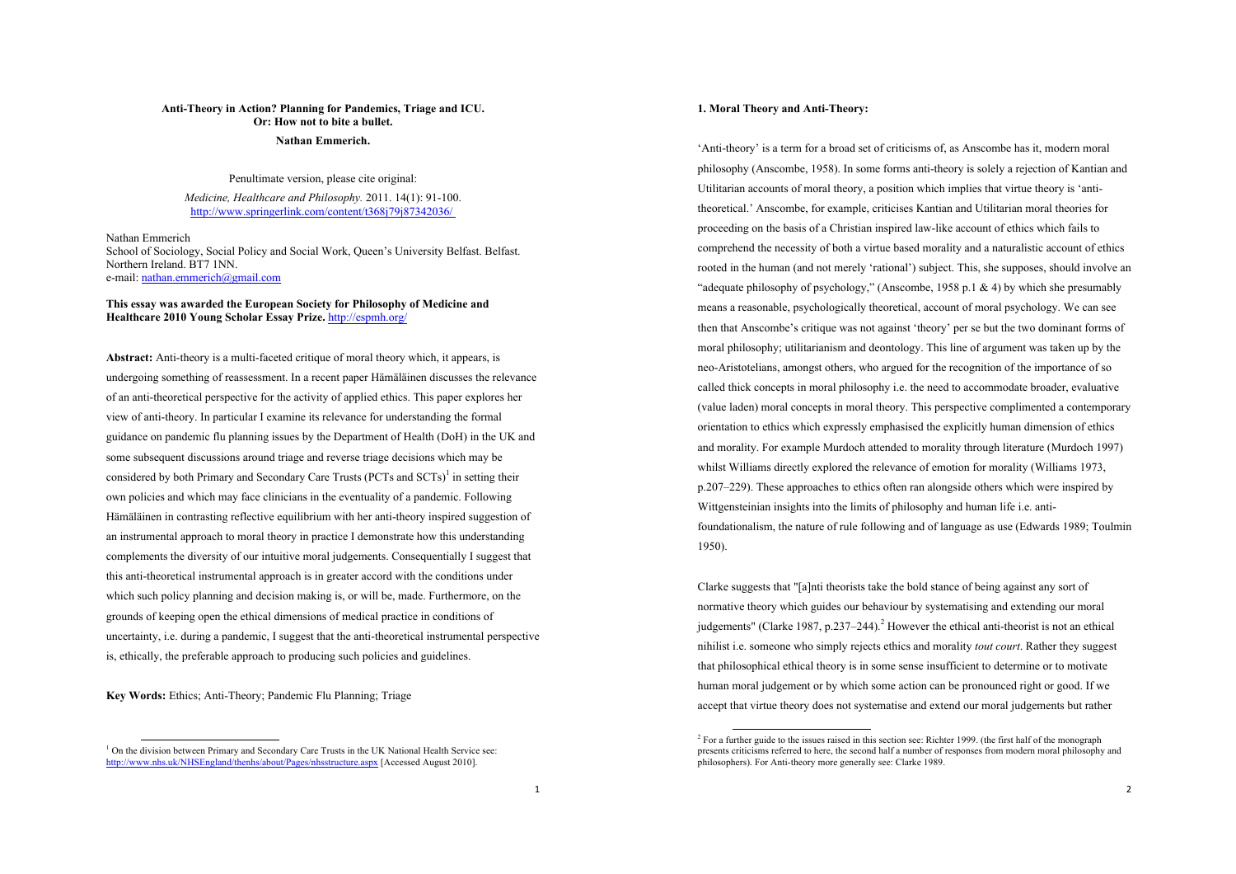# **Anti-Theory in Action? Planning for Pandemics, Triage and ICU. Or: How not to bite a bullet.**

## **Nathan Emmerich.**

Penultimate version, please cite original: *Medicine, Healthcare and Philosophy.* 2011. 14(1): 91-100. http://www.springerlink.com/content/t368j79j87342036/

Nathan Emmerich School of Sociology, Social Policy and Social Work, Queen's University Belfast. Belfast. Northern Ireland. BT7 1NN. e-mail: nathan.emmerich@gmail.com

### **This essay was awarded the European Society for Philosophy of Medicine and Healthcare 2010 Young Scholar Essay Prize.** http://espmh.org/

**Abstract:** Anti-theory is a multi-faceted critique of moral theory which, it appears, is undergoing something of reassessment. In a recent paper Hämäläinen discusses the relevance of an anti-theoretical perspective for the activity of applied ethics. This paper explores her view of anti-theory. In particular I examine its relevance for understanding the formal guidance on pandemic flu planning issues by the Department of Health (DoH) in the UK and some subsequent discussions around triage and reverse triage decisions which may be considered by both Primary and Secondary Care Trusts (PCTs and  $SCTs$ <sup>1</sup> in setting their own policies and which may face clinicians in the eventuality of a pandemic. Following Hämäläinen in contrasting reflective equilibrium with her anti-theory inspired suggestion of an instrumental approach to moral theory in practice I demonstrate how this understanding complements the diversity of our intuitive moral judgements. Consequentially I suggest that this anti-theoretical instrumental approach is in greater accord with the conditions under which such policy planning and decision making is, or will be, made. Furthermore, on the grounds of keeping open the ethical dimensions of medical practice in conditions of uncertainty, i.e. during a pandemic, I suggest that the anti-theoretical instrumental perspective is, ethically, the preferable approach to producing such policies and guidelines.

**Key Words:** Ethics; Anti-Theory; Pandemic Flu Planning; Triage

""""""""""""""""""""""""""""""""""""""""""""""""""""""""""""

## **1. Moral Theory and Anti-Theory:**

'Anti-theory' is a term for a broad set of criticisms of, as Anscombe has it, modern moral philosophy (Anscombe, 1958). In some forms anti-theory is solely a rejection of Kantian and Utilitarian accounts of moral theory, a position which implies that virtue theory is 'antitheoretical.' Anscombe, for example, criticises Kantian and Utilitarian moral theories for proceeding on the basis of a Christian inspired law-like account of ethics which fails to comprehend the necessity of both a virtue based morality and a naturalistic account of ethics rooted in the human (and not merely 'rational') subject. This, she supposes, should involve an "adequate philosophy of psychology," (Anscombe, 1958 p.1  $\&$  4) by which she presumably means a reasonable, psychologically theoretical, account of moral psychology. We can see then that Anscombe's critique was not against 'theory' per se but the two dominant forms of moral philosophy; utilitarianism and deontology. This line of argument was taken up by the neo-Aristotelians, amongst others, who argued for the recognition of the importance of so called thick concepts in moral philosophy i.e. the need to accommodate broader, evaluative (value laden) moral concepts in moral theory. This perspective complimented a contemporary orientation to ethics which expressly emphasised the explicitly human dimension of ethics and morality. For example Murdoch attended to morality through literature (Murdoch 1997) whilst Williams directly explored the relevance of emotion for morality (Williams 1973, p.207–229). These approaches to ethics often ran alongside others which were inspired by Wittgensteinian insights into the limits of philosophy and human life i.e. antifoundationalism, the nature of rule following and of language as use (Edwards 1989; Toulmin 1950).

Clarke suggests that "[a]nti theorists take the bold stance of being against any sort of normative theory which guides our behaviour by systematising and extending our moral judgements" (Clarke 1987, p.237–244).<sup>2</sup> However the ethical anti-theorist is not an ethical nihilist i.e. someone who simply rejects ethics and morality *tout court*. Rather they suggest that philosophical ethical theory is in some sense insufficient to determine or to motivate human moral judgement or by which some action can be pronounced right or good. If we accept that virtue theory does not systematise and extend our moral judgements but rather

""""""""""""""""""""""""""""""""""""""""""""""""""""""""""""

 $1$  On the division between Primary and Secondary Care Trusts in the UK National Health Service see: http://www.nhs.uk/NHSEngland/thenhs/about/Pages/nhsstructure.aspx [Accessed August 2010].

<sup>&</sup>lt;sup>2</sup> For a further guide to the issues raised in this section see: Richter 1999. (the first half of the monograph presents criticisms referred to here, the second half a number of responses from modern moral philosophy and philosophers). For Anti-theory more generally see: Clarke 1989.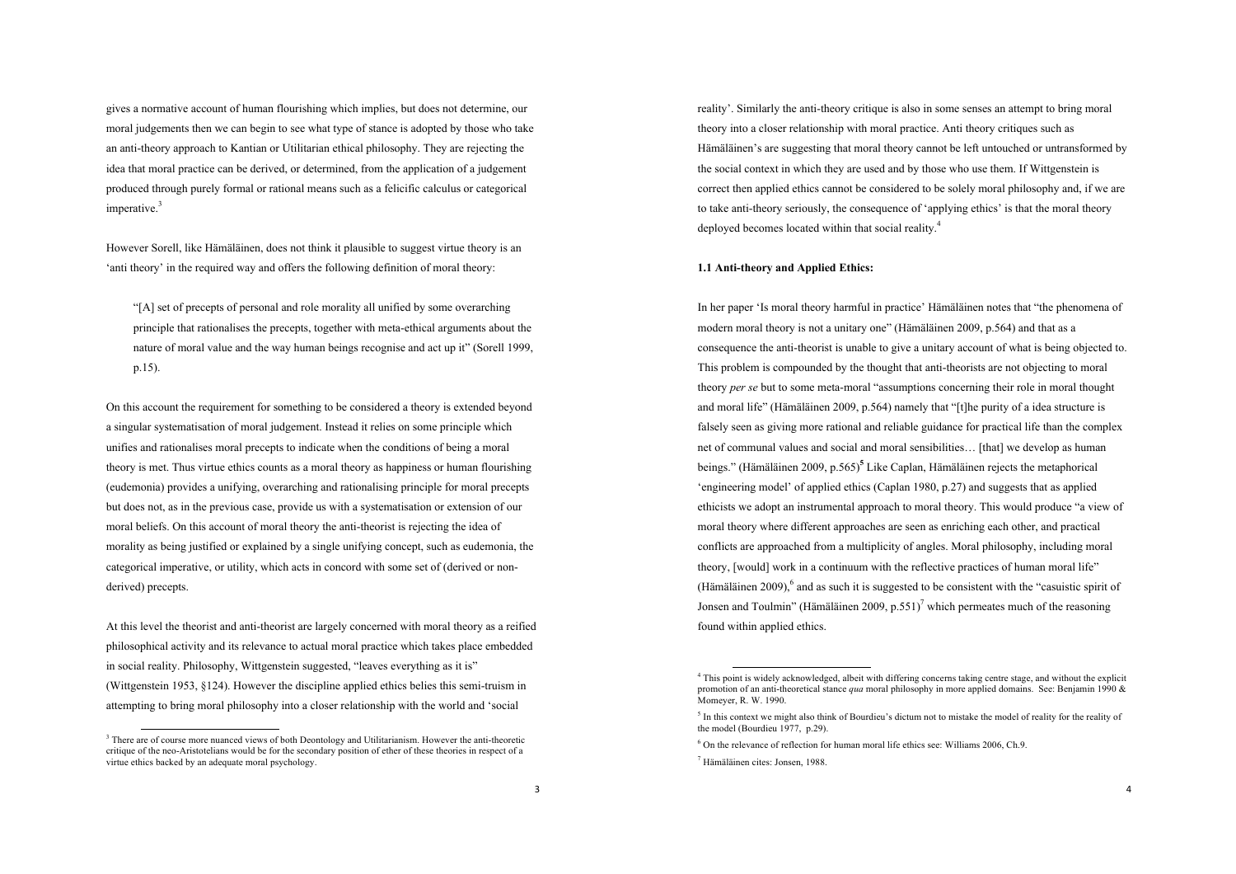gives a normative account of human flourishing which implies, but does not determine, our moral judgements then we can begin to see what type of stance is adopted by those who take an anti-theory approach to Kantian or Utilitarian ethical philosophy. They are rejecting the idea that moral practice can be derived, or determined, from the application of a judgement produced through purely formal or rational means such as a felicific calculus or categorical imperative.<sup>3</sup>

However Sorell, like Hämäläinen, does not think it plausible to suggest virtue theory is an 'anti theory' in the required way and offers the following definition of moral theory:

"[A] set of precepts of personal and role morality all unified by some overarching principle that rationalises the precepts, together with meta-ethical arguments about the nature of moral value and the way human beings recognise and act up it" (Sorell 1999, p.15).

On this account the requirement for something to be considered a theory is extended beyond a singular systematisation of moral judgement. Instead it relies on some principle which unifies and rationalises moral precepts to indicate when the conditions of being a moral theory is met. Thus virtue ethics counts as a moral theory as happiness or human flourishing (eudemonia) provides a unifying, overarching and rationalising principle for moral precepts but does not, as in the previous case, provide us with a systematisation or extension of our moral beliefs. On this account of moral theory the anti-theorist is rejecting the idea of morality as being justified or explained by a single unifying concept, such as eudemonia, the categorical imperative, or utility, which acts in concord with some set of (derived or nonderived) precepts.

At this level the theorist and anti-theorist are largely concerned with moral theory as a reified philosophical activity and its relevance to actual moral practice which takes place embedded in social reality. Philosophy, Wittgenstein suggested, "leaves everything as it is" (Wittgenstein 1953, §124). However the discipline applied ethics belies this semi-truism in attempting to bring moral philosophy into a closer relationship with the world and 'social

""""""""""""""""""""""""""""""""""""""""""""""""""""""""""""

reality'. Similarly the anti-theory critique is also in some senses an attempt to bring moral theory into a closer relationship with moral practice. Anti theory critiques such as Hämäläinen's are suggesting that moral theory cannot be left untouched or untransformed by the social context in which they are used and by those who use them. If Wittgenstein is correct then applied ethics cannot be considered to be solely moral philosophy and, if we are to take anti-theory seriously, the consequence of 'applying ethics' is that the moral theory deployed becomes located within that social reality.4

## **1.1 Anti-theory and Applied Ethics:**

In her paper 'Is moral theory harmful in practice' Hämäläinen notes that "the phenomena of modern moral theory is not a unitary one" (Hämäläinen 2009, p.564) and that as a consequence the anti-theorist is unable to give a unitary account of what is being objected to. This problem is compounded by the thought that anti-theorists are not objecting to moral theory *per se* but to some meta-moral "assumptions concerning their role in moral thought and moral life" (Hämäläinen 2009, p.564) namely that "[t]he purity of a idea structure is falsely seen as giving more rational and reliable guidance for practical life than the complex net of communal values and social and moral sensibilities… [that] we develop as human beings." (Hämäläinen 2009, p.565)**<sup>5</sup>** Like Caplan, Hämäläinen rejects the metaphorical 'engineering model' of applied ethics (Caplan 1980, p.27) and suggests that as applied ethicists we adopt an instrumental approach to moral theory. This would produce "a view of moral theory where different approaches are seen as enriching each other, and practical conflicts are approached from a multiplicity of angles. Moral philosophy, including moral theory, [would] work in a continuum with the reflective practices of human moral life" (Hämäläinen 2009), $\delta$  and as such it is suggested to be consistent with the "casuistic spirit of Jonsen and Toulmin" (Hämäläinen 2009, p.551)<sup>7</sup> which permeates much of the reasoning found within applied ethics.

""""""""""""""""""""""""""""""""""""""""""""""""""""""""""""

<sup>&</sup>lt;sup>3</sup> There are of course more nuanced views of both Deontology and Utilitarianism. However the anti-theoretic critique of the neo-Aristotelians would be for the secondary position of ether of these theories in respect of a virtue ethics backed by an adequate moral psychology.

<sup>4</sup> This point is widely acknowledged, albeit with differing concerns taking centre stage, and without the explicit promotion of an anti-theoretical stance *qua* moral philosophy in more applied domains. See: Benjamin 1990 & Momeyer, R. W. 1990.

<sup>&</sup>lt;sup>5</sup> In this context we might also think of Bourdieu's dictum not to mistake the model of reality for the reality of the model (Bourdieu 1977, p.29).

 $6$  On the relevance of reflection for human moral life ethics see: Williams 2006, Ch.9.

<sup>7</sup> Hämäläinen cites: Jonsen, 1988.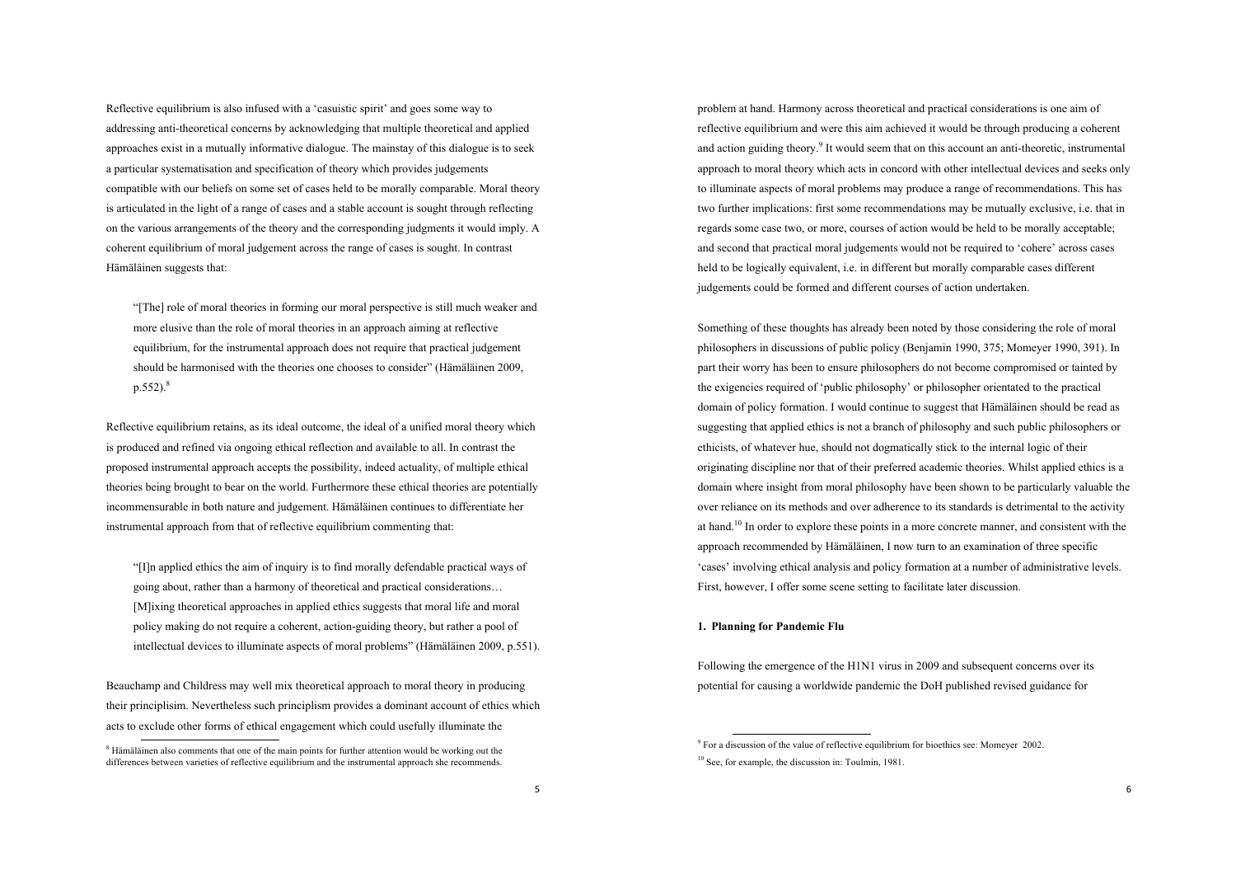Reflective equilibrium is also infused with a 'casuistic spirit' and goes some way to addressing anti-theoretical concerns by acknowledging that multiple theoretical and applied approaches exist in a mutually informative dialogue. The mainstay of this dialogue is to seek a particular systematisation and specification of theory which provides judgements compatible with our beliefs on some set of cases held to be morally comparable. Moral theory is articulated in the light of a range of cases and a stable account is sought through reflecting on the various arrangements of the theory and the corresponding judgments it would imply. A coherent equilibrium of moral judgement across the range of cases is sought. In contrast Hämäläinen suggests that:

"[The] role of moral theories in forming our moral perspective is still much weaker and more elusive than the role of moral theories in an approach aiming at reflective equilibrium, for the instrumental approach does not require that practical judgement should be harmonised with the theories one chooses to consider" (Hämäläinen 2009,  $n.552$ ).<sup>8</sup>

Reflective equilibrium retains, as its ideal outcome, the ideal of a unified moral theory which is produced and refined via ongoing ethical reflection and available to all. In contrast the proposed instrumental approach accepts the possibility, indeed actuality, of multiple ethical theories being brought to bear on the world. Furthermore these ethical theories are potentially incommensurable in both nature and judgement. Hämäläinen continues to differentiate her instrumental approach from that of reflective equilibrium commenting that:

"[I]n applied ethics the aim of inquiry is to find morally defendable practical ways of going about, rather than a harmony of theoretical and practical considerations… [M]ixing theoretical approaches in applied ethics suggests that moral life and moral policy making do not require a coherent, action-guiding theory, but rather a pool of intellectual devices to illuminate aspects of moral problems" (Hämäläinen 2009, p.551).

Beauchamp and Childress may well mix theoretical approach to moral theory in producing their principlisim. Nevertheless such principlism provides a dominant account of ethics which acts to exclude other forms of ethical engagement which could usefully illuminate the

""""""""""""""""""""""""""""""""""""""""""""""""""""""""""""

problem at hand. Harmony across theoretical and practical considerations is one aim of reflective equilibrium and were this aim achieved it would be through producing a coherent and action guiding theory.<sup>9</sup> It would seem that on this account an anti-theoretic, instrumental approach to moral theory which acts in concord with other intellectual devices and seeks only to illuminate aspects of moral problems may produce a range of recommendations. This has two further implications: first some recommendations may be mutually exclusive, i.e. that in regards some case two, or more, courses of action would be held to be morally acceptable; and second that practical moral judgements would not be required to 'cohere' across cases held to be logically equivalent, i.e. in different but morally comparable cases different judgements could be formed and different courses of action undertaken.

Something of these thoughts has already been noted by those considering the role of moral philosophers in discussions of public policy (Benjamin 1990, 375; Momeyer 1990, 391). In part their worry has been to ensure philosophers do not become compromised or tainted by the exigencies required of 'public philosophy' or philosopher orientated to the practical domain of policy formation. I would continue to suggest that Hämäläinen should be read as suggesting that applied ethics is not a branch of philosophy and such public philosophers or ethicists, of whatever hue, should not dogmatically stick to the internal logic of their originating discipline nor that of their preferred academic theories. Whilst applied ethics is a domain where insight from moral philosophy have been shown to be particularly valuable the over reliance on its methods and over adherence to its standards is detrimental to the activity at hand.10 In order to explore these points in a more concrete manner, and consistent with the approach recommended by Hämäläinen, I now turn to an examination of three specific 'cases' involving ethical analysis and policy formation at a number of administrative levels. First, however, I offer some scene setting to facilitate later discussion.

## **1. Planning for Pandemic Flu**

""""""""""""""""""""""""""""""""""""""""""""""""""""""""""""

Following the emergence of the H1N1 virus in 2009 and subsequent concerns over its potential for causing a worldwide pandemic the DoH published revised guidance for

<sup>8</sup> Hämäläinen also comments that one of the main points for further attention would be working out the differences between varieties of reflective equilibrium and the instrumental approach she recommends.

<sup>9</sup> For a discussion of the value of reflective equilibrium for bioethics see: Momeyer 2002. <sup>10</sup> See, for example, the discussion in: Toulmin, 1981.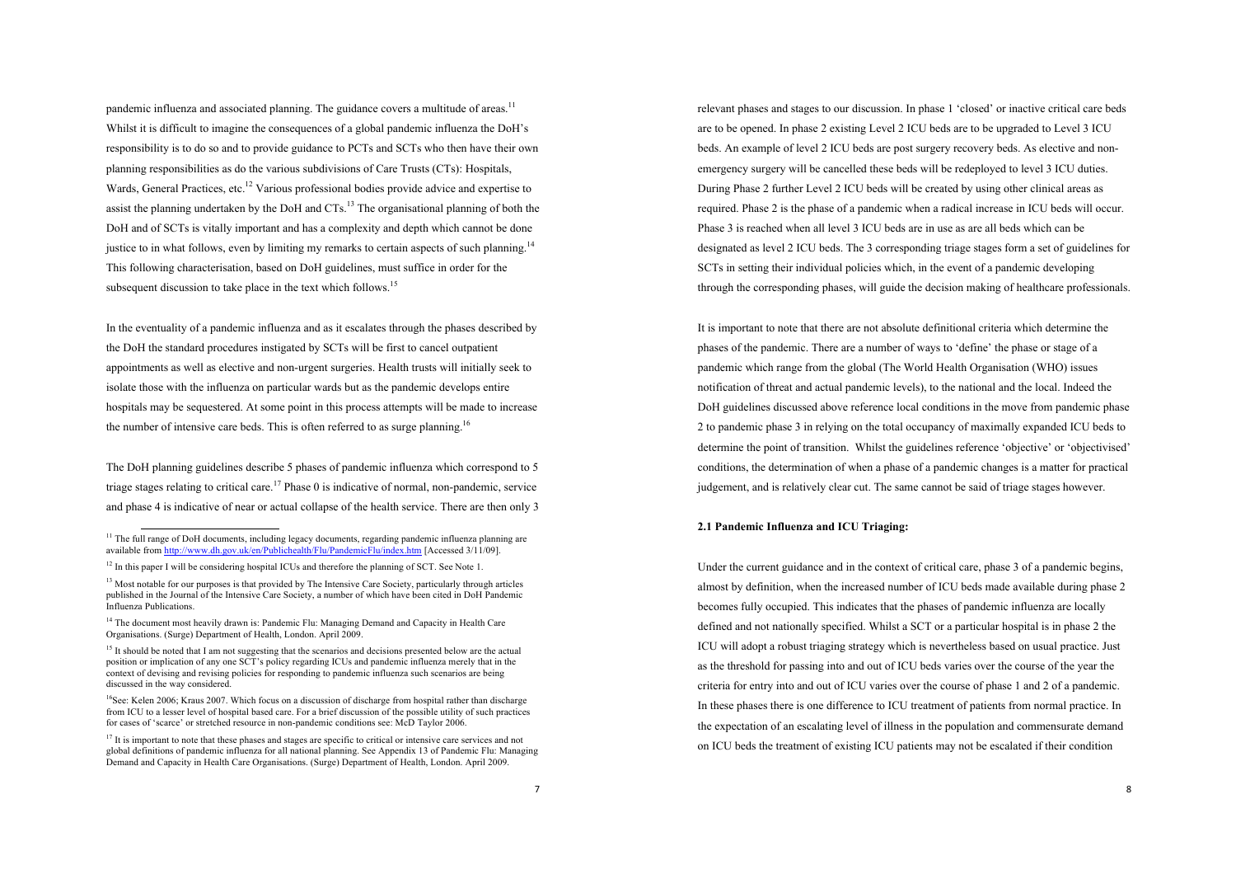pandemic influenza and associated planning. The guidance covers a multitude of areas.<sup>11</sup> Whilst it is difficult to imagine the consequences of a global pandemic influenza the DoH's responsibility is to do so and to provide guidance to PCTs and SCTs who then have their own planning responsibilities as do the various subdivisions of Care Trusts (CTs): Hospitals, Wards, General Practices, etc.<sup>12</sup> Various professional bodies provide advice and expertise to assist the planning undertaken by the DoH and  $CTs$ .<sup>13</sup> The organisational planning of both the DoH and of SCTs is vitally important and has a complexity and depth which cannot be done justice to in what follows, even by limiting my remarks to certain aspects of such planning.<sup>14</sup> This following characterisation, based on DoH guidelines, must suffice in order for the subsequent discussion to take place in the text which follows.<sup>15</sup>

In the eventuality of a pandemic influenza and as it escalates through the phases described by the DoH the standard procedures instigated by SCTs will be first to cancel outpatient appointments as well as elective and non-urgent surgeries. Health trusts will initially seek to isolate those with the influenza on particular wards but as the pandemic develops entire hospitals may be sequestered. At some point in this process attempts will be made to increase the number of intensive care beds. This is often referred to as surge planning.<sup>16</sup>

The DoH planning guidelines describe 5 phases of pandemic influenza which correspond to 5 triage stages relating to critical care.<sup>17</sup> Phase 0 is indicative of normal, non-pandemic, service and phase 4 is indicative of near or actual collapse of the health service. There are then only 3 relevant phases and stages to our discussion. In phase 1 'closed' or inactive critical care beds are to be opened. In phase 2 existing Level 2 ICU beds are to be upgraded to Level 3 ICU beds. An example of level 2 ICU beds are post surgery recovery beds. As elective and nonemergency surgery will be cancelled these beds will be redeployed to level 3 ICU duties. During Phase 2 further Level 2 ICU beds will be created by using other clinical areas as required. Phase 2 is the phase of a pandemic when a radical increase in ICU beds will occur. Phase 3 is reached when all level 3 ICU beds are in use as are all beds which can be designated as level 2 ICU beds. The 3 corresponding triage stages form a set of guidelines for SCTs in setting their individual policies which, in the event of a pandemic developing through the corresponding phases, will guide the decision making of healthcare professionals.

It is important to note that there are not absolute definitional criteria which determine the phases of the pandemic. There are a number of ways to 'define' the phase or stage of a pandemic which range from the global (The World Health Organisation (WHO) issues notification of threat and actual pandemic levels), to the national and the local. Indeed the DoH guidelines discussed above reference local conditions in the move from pandemic phase 2 to pandemic phase 3 in relying on the total occupancy of maximally expanded ICU beds to determine the point of transition. Whilst the guidelines reference 'objective' or 'objectivised' conditions, the determination of when a phase of a pandemic changes is a matter for practical judgement, and is relatively clear cut. The same cannot be said of triage stages however.

## **2.1 Pandemic Influenza and ICU Triaging:**

Under the current guidance and in the context of critical care, phase 3 of a pandemic begins, almost by definition, when the increased number of ICU beds made available during phase 2 becomes fully occupied. This indicates that the phases of pandemic influenza are locally defined and not nationally specified. Whilst a SCT or a particular hospital is in phase 2 the ICU will adopt a robust triaging strategy which is nevertheless based on usual practice. Just as the threshold for passing into and out of ICU beds varies over the course of the year the criteria for entry into and out of ICU varies over the course of phase 1 and 2 of a pandemic. In these phases there is one difference to ICU treatment of patients from normal practice. In the expectation of an escalating level of illness in the population and commensurate demand on ICU beds the treatment of existing ICU patients may not be escalated if their condition

<sup>&</sup>lt;sup>11</sup> The full range of DoH documents, including legacy documents, regarding pandemic influenza planning are available from http://www.dh.gov.uk/en/Publichealth/Flu/PandemicFlu/index.htm [Accessed 3/11/09].

<sup>&</sup>lt;sup>12</sup> In this paper I will be considering hospital ICUs and therefore the planning of SCT. See Note 1.

<sup>&</sup>lt;sup>13</sup> Most notable for our purposes is that provided by The Intensive Care Society, particularly through articles published in the Journal of the Intensive Care Society, a number of which have been cited in DoH Pandemic Influenza Publications.

<sup>&</sup>lt;sup>14</sup> The document most heavily drawn is: Pandemic Flu: Managing Demand and Capacity in Health Care Organisations. (Surge) Department of Health, London. April 2009.

<sup>&</sup>lt;sup>15</sup> It should be noted that I am not suggesting that the scenarios and decisions presented below are the actual position or implication of any one SCT's policy regarding ICUs and pandemic influenza merely that in the context of devising and revising policies for responding to pandemic influenza such scenarios are being discussed in the way considered.

<sup>&</sup>lt;sup>16</sup>See: Kelen 2006; Kraus 2007. Which focus on a discussion of discharge from hospital rather than discharge from ICU to a lesser level of hospital based care. For a brief discussion of the possible utility of such practices for cases of 'scarce' or stretched resource in non-pandemic conditions see: McD Taylor 2006.

 $17$  It is important to note that these phases and stages are specific to critical or intensive care services and not global definitions of pandemic influenza for all national planning. See Appendix 13 of Pandemic Flu: Managing Demand and Capacity in Health Care Organisations. (Surge) Department of Health, London. April 2009.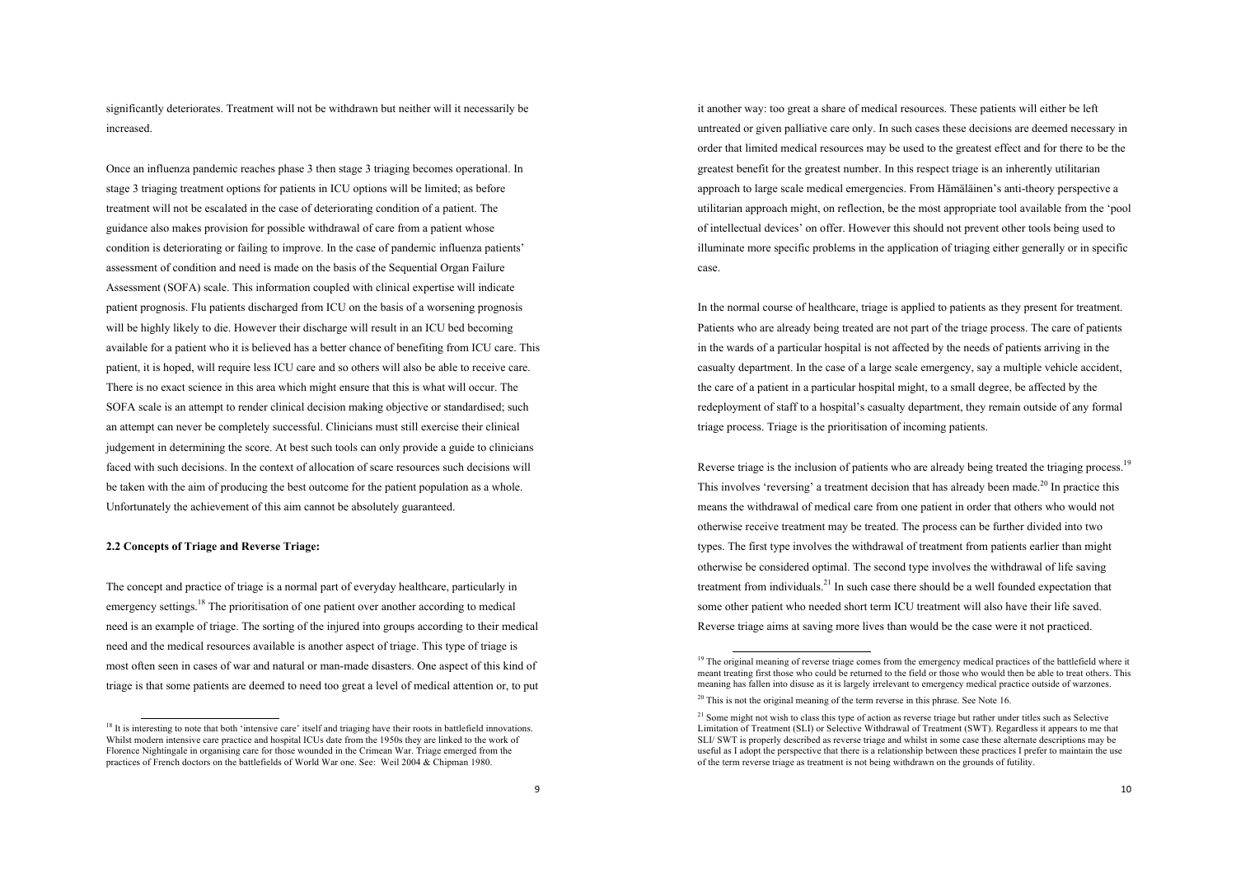significantly deteriorates. Treatment will not be withdrawn but neither will it necessarily be increased.

Once an influenza pandemic reaches phase 3 then stage 3 triaging becomes operational. In stage 3 triaging treatment options for patients in ICU options will be limited; as before treatment will not be escalated in the case of deteriorating condition of a patient. The guidance also makes provision for possible withdrawal of care from a patient whose condition is deteriorating or failing to improve. In the case of pandemic influenza patients' assessment of condition and need is made on the basis of the Sequential Organ Failure Assessment (SOFA) scale. This information coupled with clinical expertise will indicate patient prognosis. Flu patients discharged from ICU on the basis of a worsening prognosis will be highly likely to die. However their discharge will result in an ICU bed becoming available for a patient who it is believed has a better chance of benefiting from ICU care. This patient, it is hoped, will require less ICU care and so others will also be able to receive care. There is no exact science in this area which might ensure that this is what will occur. The SOFA scale is an attempt to render clinical decision making objective or standardised; such an attempt can never be completely successful. Clinicians must still exercise their clinical judgement in determining the score. At best such tools can only provide a guide to clinicians faced with such decisions. In the context of allocation of scare resources such decisions will be taken with the aim of producing the best outcome for the patient population as a whole. Unfortunately the achievement of this aim cannot be absolutely guaranteed.

## **2.2 Concepts of Triage and Reverse Triage:**

""""""""""""""""""""""""""""""""""""""""""""""""""""""""""""

The concept and practice of triage is a normal part of everyday healthcare, particularly in emergency settings.<sup>18</sup> The prioritisation of one patient over another according to medical need is an example of triage. The sorting of the injured into groups according to their medical need and the medical resources available is another aspect of triage. This type of triage is most often seen in cases of war and natural or man-made disasters. One aspect of this kind of triage is that some patients are deemed to need too great a level of medical attention or, to put it another way: too great a share of medical resources. These patients will either be left untreated or given palliative care only. In such cases these decisions are deemed necessary in order that limited medical resources may be used to the greatest effect and for there to be the greatest benefit for the greatest number. In this respect triage is an inherently utilitarian approach to large scale medical emergencies. From Hämäläinen's anti-theory perspective a utilitarian approach might, on reflection, be the most appropriate tool available from the 'pool of intellectual devices' on offer. However this should not prevent other tools being used to illuminate more specific problems in the application of triaging either generally or in specific case.

In the normal course of healthcare, triage is applied to patients as they present for treatment. Patients who are already being treated are not part of the triage process. The care of patients in the wards of a particular hospital is not affected by the needs of patients arriving in the casualty department. In the case of a large scale emergency, say a multiple vehicle accident, the care of a patient in a particular hospital might, to a small degree, be affected by the redeployment of staff to a hospital's casualty department, they remain outside of any formal triage process. Triage is the prioritisation of incoming patients.

Reverse triage is the inclusion of patients who are already being treated the triaging process.<sup>19</sup> This involves 'reversing' a treatment decision that has already been made.<sup>20</sup> In practice this means the withdrawal of medical care from one patient in order that others who would not otherwise receive treatment may be treated. The process can be further divided into two types. The first type involves the withdrawal of treatment from patients earlier than might otherwise be considered optimal. The second type involves the withdrawal of life saving treatment from individuals.<sup>21</sup> In such case there should be a well founded expectation that some other patient who needed short term ICU treatment will also have their life saved. Reverse triage aims at saving more lives than would be the case were it not practiced.

""""""""""""""""""""""""""""""""""""""""""""""""""""""""""""

 $18$  It is interesting to note that both 'intensive care' itself and triaging have their roots in battlefield innovations. Whilst modern intensive care practice and hospital ICUs date from the 1950s they are linked to the work of Florence Nightingale in organising care for those wounded in the Crimean War. Triage emerged from the practices of French doctors on the battlefields of World War one. See: Weil 2004 & Chipman 1980.

 $19$  The original meaning of reverse triage comes from the emergency medical practices of the battlefield where it meant treating first those who could be returned to the field or those who would then be able to treat others. This meaning has fallen into disuse as it is largely irrelevant to emergency medical practice outside of warzones.

 $20$  This is not the original meaning of the term reverse in this phrase. See Note 16.

<sup>&</sup>lt;sup>21</sup> Some might not wish to class this type of action as reverse triage but rather under titles such as Selective Limitation of Treatment (SLI) or Selective Withdrawal of Treatment (SWT). Regardless it appears to me that SLI/ SWT is properly described as reverse triage and whilst in some case these alternate descriptions may be useful as I adopt the perspective that there is a relationship between these practices I prefer to maintain the use of the term reverse triage as treatment is not being withdrawn on the grounds of futility.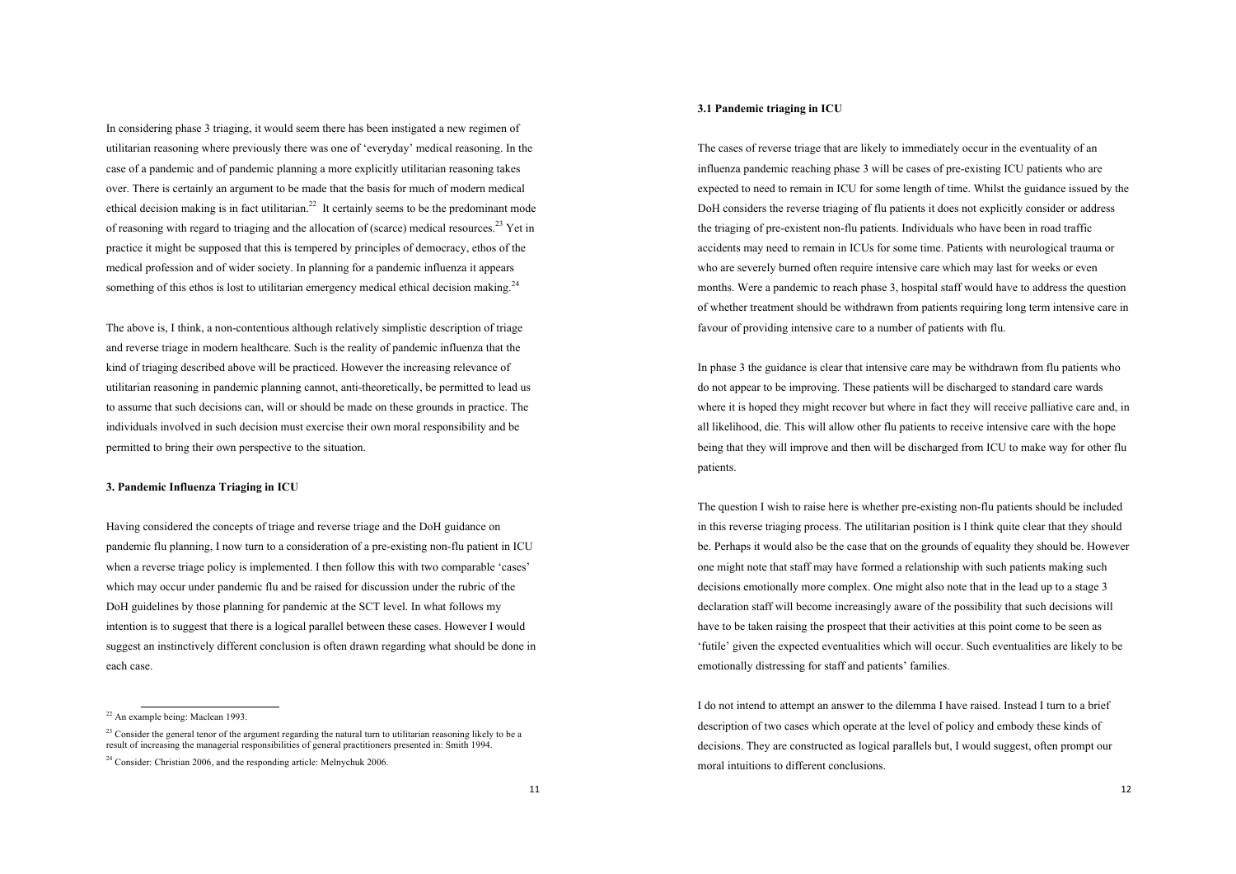In considering phase 3 triaging, it would seem there has been instigated a new regimen of utilitarian reasoning where previously there was one of 'everyday' medical reasoning. In the case of a pandemic and of pandemic planning a more explicitly utilitarian reasoning takes over. There is certainly an argument to be made that the basis for much of modern medical ethical decision making is in fact utilitarian.<sup>22</sup> It certainly seems to be the predominant mode of reasoning with regard to triaging and the allocation of (scarce) medical resources.<sup>23</sup> Yet in practice it might be supposed that this is tempered by principles of democracy, ethos of the medical profession and of wider society. In planning for a pandemic influenza it appears something of this ethos is lost to utilitarian emergency medical ethical decision making.<sup>24</sup>

The above is, I think, a non-contentious although relatively simplistic description of triage and reverse triage in modern healthcare. Such is the reality of pandemic influenza that the kind of triaging described above will be practiced. However the increasing relevance of utilitarian reasoning in pandemic planning cannot, anti-theoretically, be permitted to lead us to assume that such decisions can, will or should be made on these grounds in practice. The individuals involved in such decision must exercise their own moral responsibility and be permitted to bring their own perspective to the situation.

#### **3. Pandemic Influenza Triaging in ICU**

Having considered the concepts of triage and reverse triage and the DoH guidance on pandemic flu planning, I now turn to a consideration of a pre-existing non-flu patient in ICU when a reverse triage policy is implemented. I then follow this with two comparable 'cases' which may occur under pandemic flu and be raised for discussion under the rubric of the DoH guidelines by those planning for pandemic at the SCT level. In what follows my intention is to suggest that there is a logical parallel between these cases. However I would suggest an instinctively different conclusion is often drawn regarding what should be done in each case.

""""""""""""""""""""""""""""""""""""""""""""""""""""""""""""

#### **3.1 Pandemic triaging in ICU**

The cases of reverse triage that are likely to immediately occur in the eventuality of an influenza pandemic reaching phase 3 will be cases of pre-existing ICU patients who are expected to need to remain in ICU for some length of time. Whilst the guidance issued by the DoH considers the reverse triaging of flu patients it does not explicitly consider or address the triaging of pre-existent non-flu patients. Individuals who have been in road traffic accidents may need to remain in ICUs for some time. Patients with neurological trauma or who are severely burned often require intensive care which may last for weeks or even months. Were a pandemic to reach phase 3, hospital staff would have to address the question of whether treatment should be withdrawn from patients requiring long term intensive care in favour of providing intensive care to a number of patients with flu.

In phase 3 the guidance is clear that intensive care may be withdrawn from flu patients who do not appear to be improving. These patients will be discharged to standard care wards where it is hoped they might recover but where in fact they will receive palliative care and, in all likelihood, die. This will allow other flu patients to receive intensive care with the hope being that they will improve and then will be discharged from ICU to make way for other flu patients.

The question I wish to raise here is whether pre-existing non-flu patients should be included in this reverse triaging process. The utilitarian position is I think quite clear that they should be. Perhaps it would also be the case that on the grounds of equality they should be. However one might note that staff may have formed a relationship with such patients making such decisions emotionally more complex. One might also note that in the lead up to a stage 3 declaration staff will become increasingly aware of the possibility that such decisions will have to be taken raising the prospect that their activities at this point come to be seen as 'futile' given the expected eventualities which will occur. Such eventualities are likely to be emotionally distressing for staff and patients' families.

I do not intend to attempt an answer to the dilemma I have raised. Instead I turn to a brief description of two cases which operate at the level of policy and embody these kinds of decisions. They are constructed as logical parallels but, I would suggest, often prompt our moral intuitions to different conclusions.

<sup>&</sup>lt;sup>22</sup> An example being: Maclean 1993.

 $23$  Consider the general tenor of the argument regarding the natural turn to utilitarian reasoning likely to be a result of increasing the managerial responsibilities of general practitioners presented in: Smith 1994.

<sup>&</sup>lt;sup>24</sup> Consider: Christian 2006, and the responding article: Melnychuk 2006.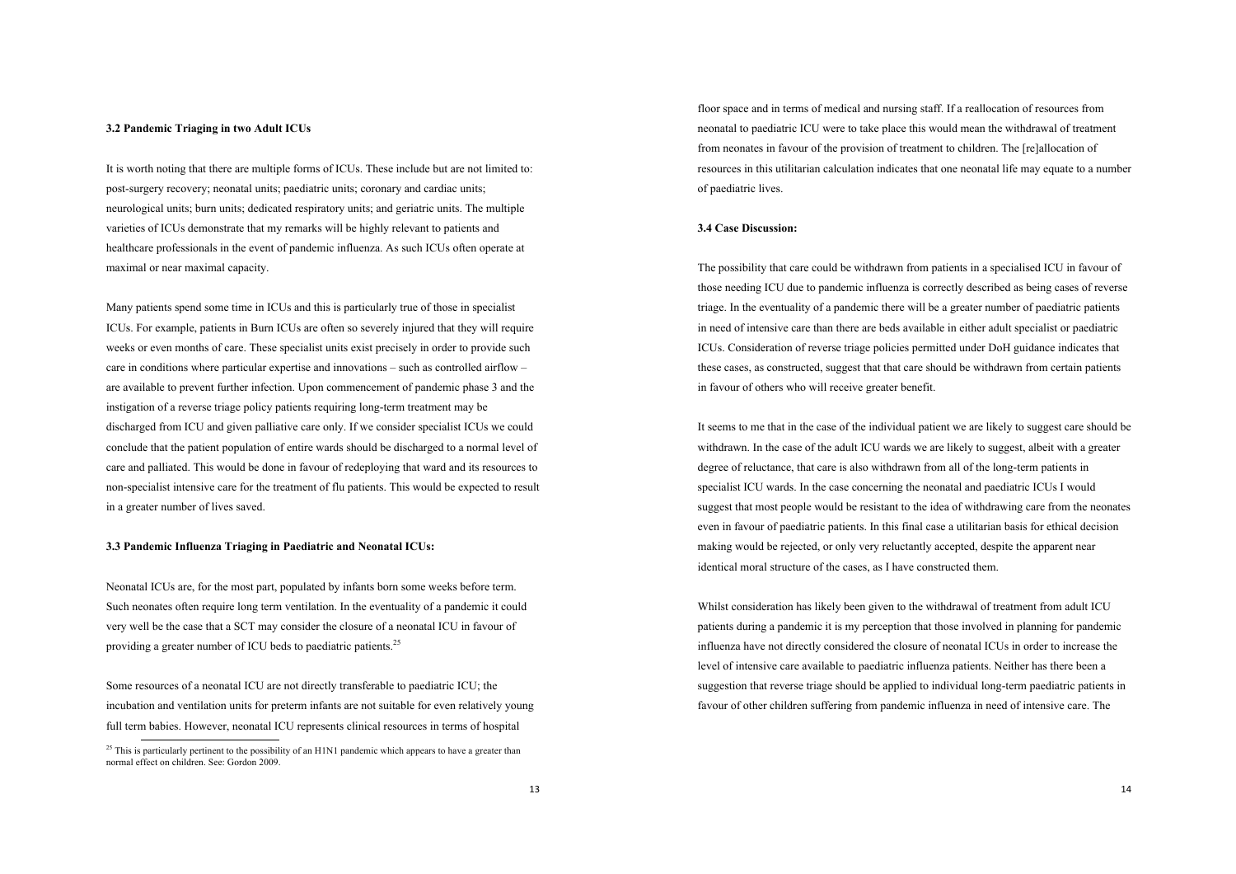#### **3.2 Pandemic Triaging in two Adult ICUs**

It is worth noting that there are multiple forms of ICUs. These include but are not limited to: post-surgery recovery; neonatal units; paediatric units; coronary and cardiac units; neurological units; burn units; dedicated respiratory units; and geriatric units. The multiple varieties of ICUs demonstrate that my remarks will be highly relevant to patients and healthcare professionals in the event of pandemic influenza. As such ICUs often operate at maximal or near maximal capacity.

Many patients spend some time in ICUs and this is particularly true of those in specialist ICUs. For example, patients in Burn ICUs are often so severely injured that they will require weeks or even months of care. These specialist units exist precisely in order to provide such care in conditions where particular expertise and innovations – such as controlled airflow – are available to prevent further infection. Upon commencement of pandemic phase 3 and the instigation of a reverse triage policy patients requiring long-term treatment may be discharged from ICU and given palliative care only. If we consider specialist ICUs we could conclude that the patient population of entire wards should be discharged to a normal level of care and palliated. This would be done in favour of redeploying that ward and its resources to non-specialist intensive care for the treatment of flu patients. This would be expected to result in a greater number of lives saved.

## **3.3 Pandemic Influenza Triaging in Paediatric and Neonatal ICUs:**

Neonatal ICUs are, for the most part, populated by infants born some weeks before term. Such neonates often require long term ventilation. In the eventuality of a pandemic it could very well be the case that a SCT may consider the closure of a neonatal ICU in favour of providing a greater number of ICU beds to paediatric patients.25

Some resources of a neonatal ICU are not directly transferable to paediatric ICU; the incubation and ventilation units for preterm infants are not suitable for even relatively young full term babies. However, neonatal ICU represents clinical resources in terms of hospital

floor space and in terms of medical and nursing staff. If a reallocation of resources from neonatal to paediatric ICU were to take place this would mean the withdrawal of treatment from neonates in favour of the provision of treatment to children. The [re]allocation of resources in this utilitarian calculation indicates that one neonatal life may equate to a number of paediatric lives.

### **3.4 Case Discussion:**

The possibility that care could be withdrawn from patients in a specialised ICU in favour of those needing ICU due to pandemic influenza is correctly described as being cases of reverse triage. In the eventuality of a pandemic there will be a greater number of paediatric patients in need of intensive care than there are beds available in either adult specialist or paediatric ICUs. Consideration of reverse triage policies permitted under DoH guidance indicates that these cases, as constructed, suggest that that care should be withdrawn from certain patients in favour of others who will receive greater benefit.

It seems to me that in the case of the individual patient we are likely to suggest care should be withdrawn. In the case of the adult ICU wards we are likely to suggest, albeit with a greater degree of reluctance, that care is also withdrawn from all of the long-term patients in specialist ICU wards. In the case concerning the neonatal and paediatric ICUs I would suggest that most people would be resistant to the idea of withdrawing care from the neonates even in favour of paediatric patients. In this final case a utilitarian basis for ethical decision making would be rejected, or only very reluctantly accepted, despite the apparent near identical moral structure of the cases, as I have constructed them.

Whilst consideration has likely been given to the withdrawal of treatment from adult ICU patients during a pandemic it is my perception that those involved in planning for pandemic influenza have not directly considered the closure of neonatal ICUs in order to increase the level of intensive care available to paediatric influenza patients. Neither has there been a suggestion that reverse triage should be applied to individual long-term paediatric patients in favour of other children suffering from pandemic influenza in need of intensive care. The

<sup>&</sup>lt;sup>25</sup> This is particularly pertinent to the possibility of an H1N1 pandemic which appears to have a greater than normal effect on children. See: Gordon 2009.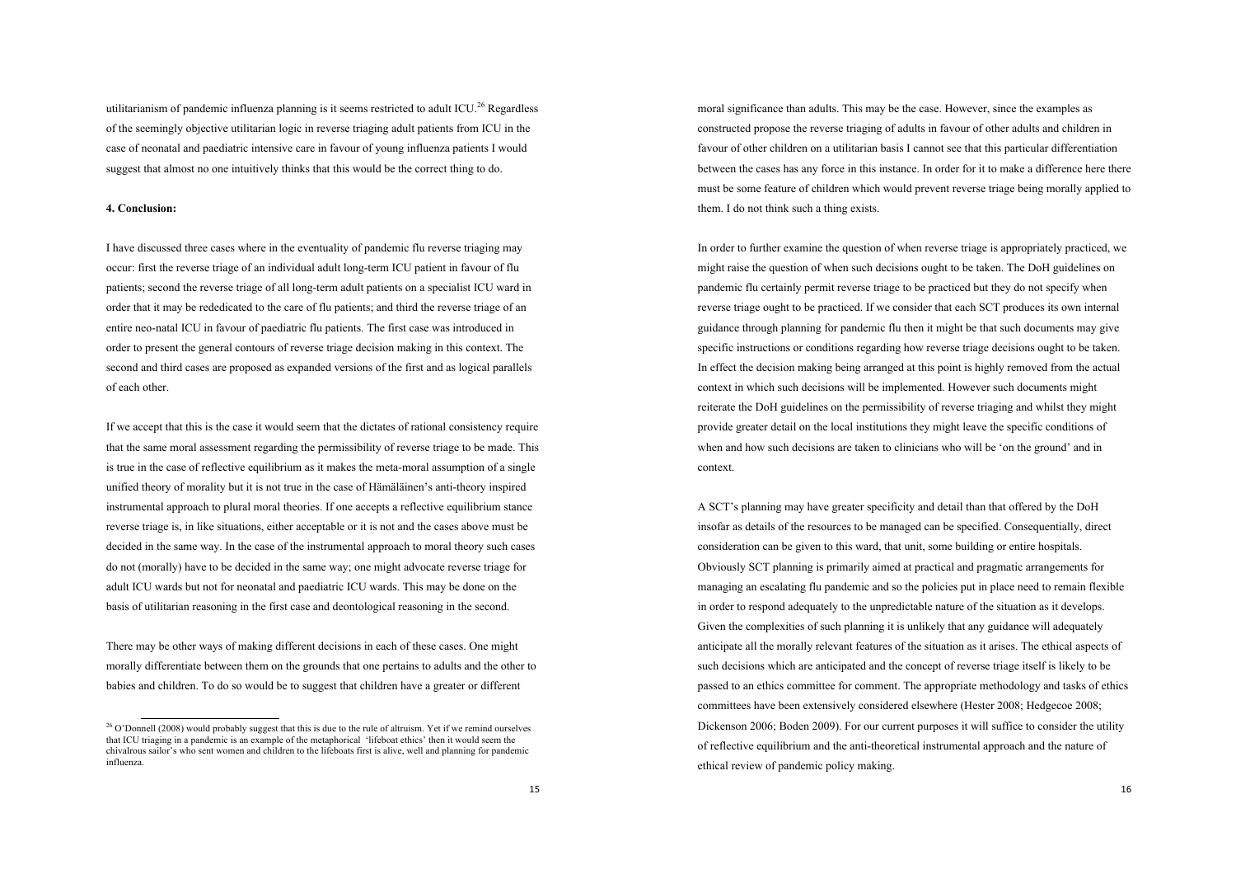utilitarianism of pandemic influenza planning is it seems restricted to adult ICU.<sup>26</sup> Regardless of the seemingly objective utilitarian logic in reverse triaging adult patients from ICU in the case of neonatal and paediatric intensive care in favour of young influenza patients I would suggest that almost no one intuitively thinks that this would be the correct thing to do.

## **4. Conclusion:**

I have discussed three cases where in the eventuality of pandemic flu reverse triaging may occur: first the reverse triage of an individual adult long-term ICU patient in favour of flu patients; second the reverse triage of all long-term adult patients on a specialist ICU ward in order that it may be rededicated to the care of flu patients; and third the reverse triage of an entire neo-natal ICU in favour of paediatric flu patients. The first case was introduced in order to present the general contours of reverse triage decision making in this context. The second and third cases are proposed as expanded versions of the first and as logical parallels of each other.

If we accept that this is the case it would seem that the dictates of rational consistency require that the same moral assessment regarding the permissibility of reverse triage to be made. This is true in the case of reflective equilibrium as it makes the meta-moral assumption of a single unified theory of morality but it is not true in the case of Hämäläinen's anti-theory inspired instrumental approach to plural moral theories. If one accepts a reflective equilibrium stance reverse triage is, in like situations, either acceptable or it is not and the cases above must be decided in the same way. In the case of the instrumental approach to moral theory such cases do not (morally) have to be decided in the same way; one might advocate reverse triage for adult ICU wards but not for neonatal and paediatric ICU wards. This may be done on the basis of utilitarian reasoning in the first case and deontological reasoning in the second.

There may be other ways of making different decisions in each of these cases. One might morally differentiate between them on the grounds that one pertains to adults and the other to babies and children. To do so would be to suggest that children have a greater or different

""""""""""""""""""""""""""""""""""""""""""""""""""""""""""""

moral significance than adults. This may be the case. However, since the examples as constructed propose the reverse triaging of adults in favour of other adults and children in favour of other children on a utilitarian basis I cannot see that this particular differentiation between the cases has any force in this instance. In order for it to make a difference here there must be some feature of children which would prevent reverse triage being morally applied to them. I do not think such a thing exists.

In order to further examine the question of when reverse triage is appropriately practiced, we might raise the question of when such decisions ought to be taken. The DoH guidelines on pandemic flu certainly permit reverse triage to be practiced but they do not specify when reverse triage ought to be practiced. If we consider that each SCT produces its own internal guidance through planning for pandemic flu then it might be that such documents may give specific instructions or conditions regarding how reverse triage decisions ought to be taken. In effect the decision making being arranged at this point is highly removed from the actual context in which such decisions will be implemented. However such documents might reiterate the DoH guidelines on the permissibility of reverse triaging and whilst they might provide greater detail on the local institutions they might leave the specific conditions of when and how such decisions are taken to clinicians who will be 'on the ground' and in context.

A SCT's planning may have greater specificity and detail than that offered by the DoH insofar as details of the resources to be managed can be specified. Consequentially, direct consideration can be given to this ward, that unit, some building or entire hospitals. Obviously SCT planning is primarily aimed at practical and pragmatic arrangements for managing an escalating flu pandemic and so the policies put in place need to remain flexible in order to respond adequately to the unpredictable nature of the situation as it develops. Given the complexities of such planning it is unlikely that any guidance will adequately anticipate all the morally relevant features of the situation as it arises. The ethical aspects of such decisions which are anticipated and the concept of reverse triage itself is likely to be passed to an ethics committee for comment. The appropriate methodology and tasks of ethics committees have been extensively considered elsewhere (Hester 2008; Hedgecoe 2008; Dickenson 2006; Boden 2009). For our current purposes it will suffice to consider the utility of reflective equilibrium and the anti-theoretical instrumental approach and the nature of ethical review of pandemic policy making.

 $^{26}$  O'Donnell (2008) would probably suggest that this is due to the rule of altruism. Yet if we remind ourselves that ICU triaging in a pandemic is an example of the metaphorical 'lifeboat ethics' then it would seem the chivalrous sailor's who sent women and children to the lifeboats first is alive, well and planning for pandemic influenza.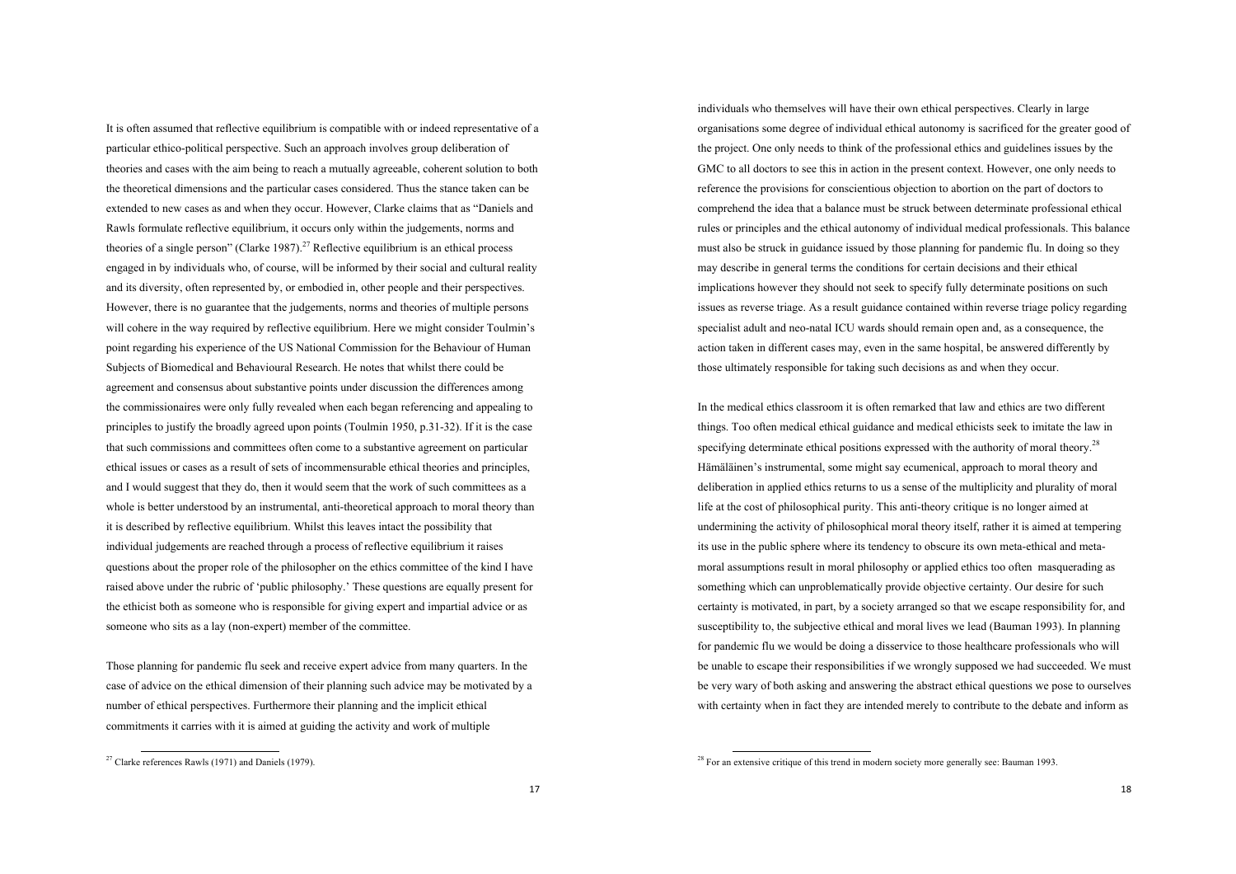It is often assumed that reflective equilibrium is compatible with or indeed representative of a particular ethico-political perspective. Such an approach involves group deliberation of theories and cases with the aim being to reach a mutually agreeable, coherent solution to both the theoretical dimensions and the particular cases considered. Thus the stance taken can be extended to new cases as and when they occur. However, Clarke claims that as "Daniels and Rawls formulate reflective equilibrium, it occurs only within the judgements, norms and theories of a single person" (Clarke 1987).<sup>27</sup> Reflective equilibrium is an ethical process engaged in by individuals who, of course, will be informed by their social and cultural reality and its diversity, often represented by, or embodied in, other people and their perspectives. However, there is no guarantee that the judgements, norms and theories of multiple persons will cohere in the way required by reflective equilibrium. Here we might consider Toulmin's point regarding his experience of the US National Commission for the Behaviour of Human Subjects of Biomedical and Behavioural Research. He notes that whilst there could be agreement and consensus about substantive points under discussion the differences among the commissionaires were only fully revealed when each began referencing and appealing to principles to justify the broadly agreed upon points (Toulmin 1950, p.31-32). If it is the case that such commissions and committees often come to a substantive agreement on particular ethical issues or cases as a result of sets of incommensurable ethical theories and principles, and I would suggest that they do, then it would seem that the work of such committees as a whole is better understood by an instrumental, anti-theoretical approach to moral theory than it is described by reflective equilibrium. Whilst this leaves intact the possibility that individual judgements are reached through a process of reflective equilibrium it raises questions about the proper role of the philosopher on the ethics committee of the kind I have raised above under the rubric of 'public philosophy.' These questions are equally present for the ethicist both as someone who is responsible for giving expert and impartial advice or as someone who sits as a lay (non-expert) member of the committee.

Those planning for pandemic flu seek and receive expert advice from many quarters. In the case of advice on the ethical dimension of their planning such advice may be motivated by a number of ethical perspectives. Furthermore their planning and the implicit ethical commitments it carries with it is aimed at guiding the activity and work of multiple

In the medical ethics classroom it is often remarked that law and ethics are two different things. Too often medical ethical guidance and medical ethicists seek to imitate the law in specifying determinate ethical positions expressed with the authority of moral theory.<sup>28</sup> Hämäläinen's instrumental, some might say ecumenical, approach to moral theory and deliberation in applied ethics returns to us a sense of the multiplicity and plurality of moral life at the cost of philosophical purity. This anti-theory critique is no longer aimed at undermining the activity of philosophical moral theory itself, rather it is aimed at tempering its use in the public sphere where its tendency to obscure its own meta-ethical and metamoral assumptions result in moral philosophy or applied ethics too often masquerading as something which can unproblematically provide objective certainty. Our desire for such certainty is motivated, in part, by a society arranged so that we escape responsibility for, and susceptibility to, the subjective ethical and moral lives we lead (Bauman 1993). In planning for pandemic flu we would be doing a disservice to those healthcare professionals who will be unable to escape their responsibilities if we wrongly supposed we had succeeded. We must be very wary of both asking and answering the abstract ethical questions we pose to ourselves with certainty when in fact they are intended merely to contribute to the debate and inform as

individuals who themselves will have their own ethical perspectives. Clearly in large organisations some degree of individual ethical autonomy is sacrificed for the greater good of the project. One only needs to think of the professional ethics and guidelines issues by the GMC to all doctors to see this in action in the present context. However, one only needs to reference the provisions for conscientious objection to abortion on the part of doctors to comprehend the idea that a balance must be struck between determinate professional ethical rules or principles and the ethical autonomy of individual medical professionals. This balance must also be struck in guidance issued by those planning for pandemic flu. In doing so they may describe in general terms the conditions for certain decisions and their ethical implications however they should not seek to specify fully determinate positions on such issues as reverse triage. As a result guidance contained within reverse triage policy regarding specialist adult and neo-natal ICU wards should remain open and, as a consequence, the action taken in different cases may, even in the same hospital, be answered differently by those ultimately responsible for taking such decisions as and when they occur.

 $\overline{r^{27}$  Clarke references Rawls (1971) and Daniels (1979).

<sup>&</sup>lt;sup>28</sup> For an extensive critique of this trend in modern society more generally see: Bauman 1993.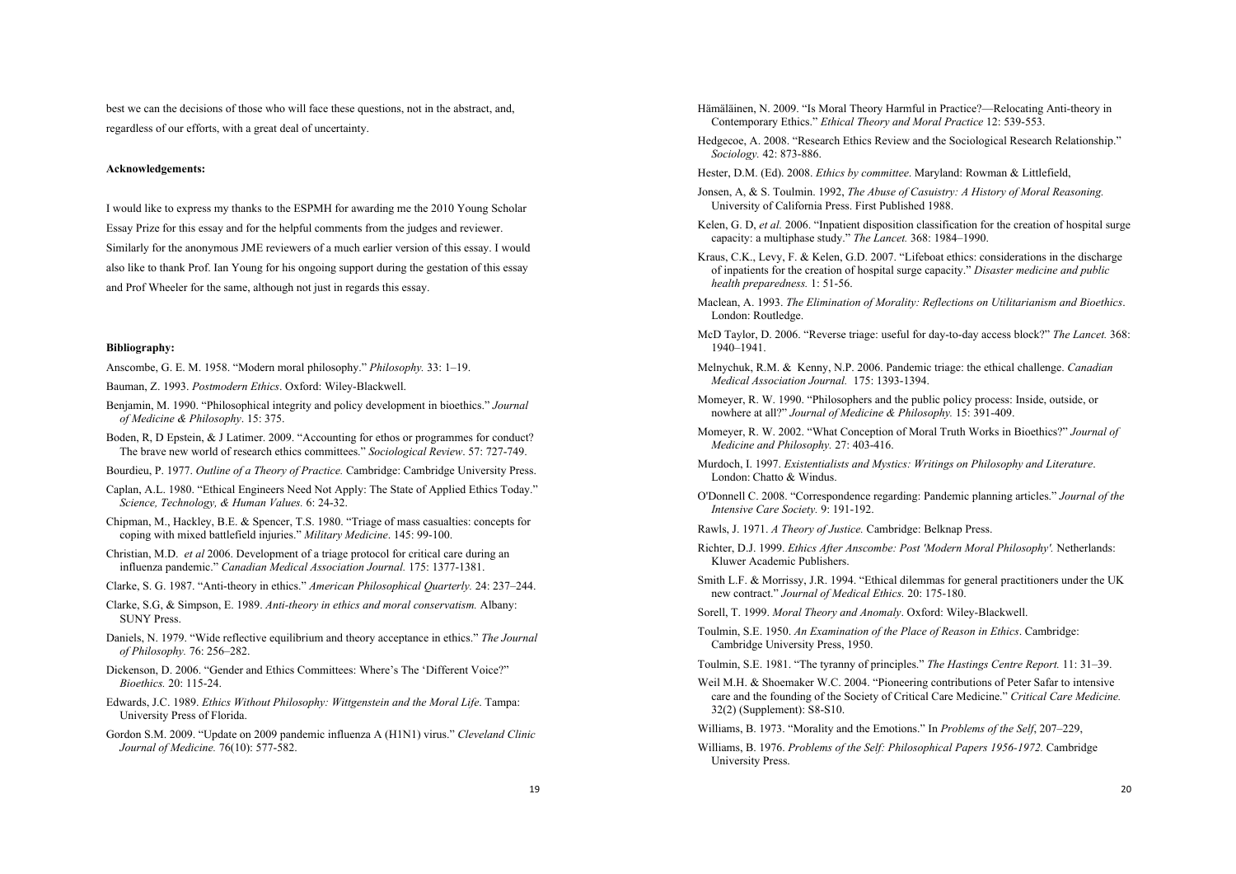best we can the decisions of those who will face these questions, not in the abstract, and, regardless of our efforts, with a great deal of uncertainty.

#### **Acknowledgements:**

I would like to express my thanks to the ESPMH for awarding me the 2010 Young Scholar Essay Prize for this essay and for the helpful comments from the judges and reviewer. Similarly for the anonymous JME reviewers of a much earlier version of this essay. I would also like to thank Prof. Ian Young for his ongoing support during the gestation of this essay and Prof Wheeler for the same, although not just in regards this essay.

## **Bibliography:**

Anscombe, G. E. M. 1958. "Modern moral philosophy." *Philosophy.* 33: 1–19.

- Bauman, Z. 1993. *Postmodern Ethics*. Oxford: Wiley-Blackwell.
- Benjamin, M. 1990. "Philosophical integrity and policy development in bioethics." *Journal of Medicine & Philosophy*. 15: 375.

Boden, R, D Epstein, & J Latimer. 2009. "Accounting for ethos or programmes for conduct? The brave new world of research ethics committees." *Sociological Review*. 57: 727-749.

- Bourdieu, P. 1977. *Outline of a Theory of Practice.* Cambridge: Cambridge University Press.
- Caplan, A.L. 1980. "Ethical Engineers Need Not Apply: The State of Applied Ethics Today." *Science, Technology, & Human Values.* 6: 24-32.
- Chipman, M., Hackley, B.E. & Spencer, T.S. 1980. "Triage of mass casualties: concepts for coping with mixed battlefield injuries." *Military Medicine*. 145: 99-100.
- Christian, M.D. *et al* 2006. Development of a triage protocol for critical care during an influenza pandemic." *Canadian Medical Association Journal.* 175: 1377-1381.
- Clarke, S. G. 1987. "Anti-theory in ethics." *American Philosophical Quarterly.* 24: 237–244.
- Clarke, S.G, & Simpson, E. 1989. *Anti-theory in ethics and moral conservatism.* Albany: SUNY Press.
- Daniels, N. 1979. "Wide reflective equilibrium and theory acceptance in ethics." *The Journal of Philosophy.* 76: 256–282.
- Dickenson, D. 2006. "Gender and Ethics Committees: Where's The 'Different Voice?" *Bioethics.* 20: 115-24.
- Edwards, J.C. 1989. *Ethics Without Philosophy: Wittgenstein and the Moral Life*. Tampa: University Press of Florida.
- Gordon S.M. 2009. "Update on 2009 pandemic influenza A (H1N1) virus." *Cleveland Clinic Journal of Medicine.* 76(10): 577-582.

Hämäläinen, N. 2009. "Is Moral Theory Harmful in Practice?—Relocating Anti-theory in Contemporary Ethics." *Ethical Theory and Moral Practice* 12: 539-553.

- Hedgecoe, A. 2008. "Research Ethics Review and the Sociological Research Relationship." *Sociology.* 42: 873-886.
- Hester, D.M. (Ed). 2008. *Ethics by committee*. Maryland: Rowman & Littlefield,
- Jonsen, A, & S. Toulmin. 1992, *The Abuse of Casuistry: A History of Moral Reasoning.* University of California Press. First Published 1988.
- Kelen, G. D, *et al.* 2006. "Inpatient disposition classification for the creation of hospital surge capacity: a multiphase study." *The Lancet.* 368: 1984–1990.
- Kraus, C.K., Levy, F. & Kelen, G.D. 2007. "Lifeboat ethics: considerations in the discharge of inpatients for the creation of hospital surge capacity." *Disaster medicine and public health preparedness.* 1: 51-56.
- Maclean, A. 1993. *The Elimination of Morality: Reflections on Utilitarianism and Bioethics*. London: Routledge.
- McD Taylor, D. 2006. "Reverse triage: useful for day-to-day access block?" *The Lancet.* 368: 1940–1941.
- Melnychuk, R.M. & Kenny, N.P. 2006. Pandemic triage: the ethical challenge. *Canadian Medical Association Journal.* 175: 1393-1394.
- Momeyer, R. W. 1990. "Philosophers and the public policy process: Inside, outside, or nowhere at all?" *Journal of Medicine & Philosophy.* 15: 391-409.
- Momeyer, R. W. 2002. "What Conception of Moral Truth Works in Bioethics?" *Journal of Medicine and Philosophy.* 27: 403-416.
- Murdoch, I. 1997. *Existentialists and Mystics: Writings on Philosophy and Literature*. London: Chatto & Windus.
- O'Donnell C. 2008. "Correspondence regarding: Pandemic planning articles." *Journal of the Intensive Care Society.* 9: 191-192.
- Rawls, J. 1971. *A Theory of Justice.* Cambridge: Belknap Press.
- Richter, D.J. 1999. *Ethics After Anscombe: Post 'Modern Moral Philosophy'.* Netherlands: Kluwer Academic Publishers.
- Smith L.F. & Morrissy, J.R. 1994. "Ethical dilemmas for general practitioners under the UK new contract." *Journal of Medical Ethics.* 20: 175-180.
- Sorell, T. 1999. *Moral Theory and Anomaly*. Oxford: Wiley-Blackwell.
- Toulmin, S.E. 1950. *An Examination of the Place of Reason in Ethics*. Cambridge: Cambridge University Press, 1950.
- Toulmin, S.E. 1981. "The tyranny of principles." *The Hastings Centre Report.* 11: 31–39.
- Weil M.H. & Shoemaker W.C. 2004. "Pioneering contributions of Peter Safar to intensive care and the founding of the Society of Critical Care Medicine." *Critical Care Medicine.* 32(2) (Supplement): S8-S10.

Williams, B. 1973. "Morality and the Emotions." In *Problems of the Self*, 207–229,

Williams, B. 1976. *Problems of the Self: Philosophical Papers 1956-1972.* Cambridge University Press.